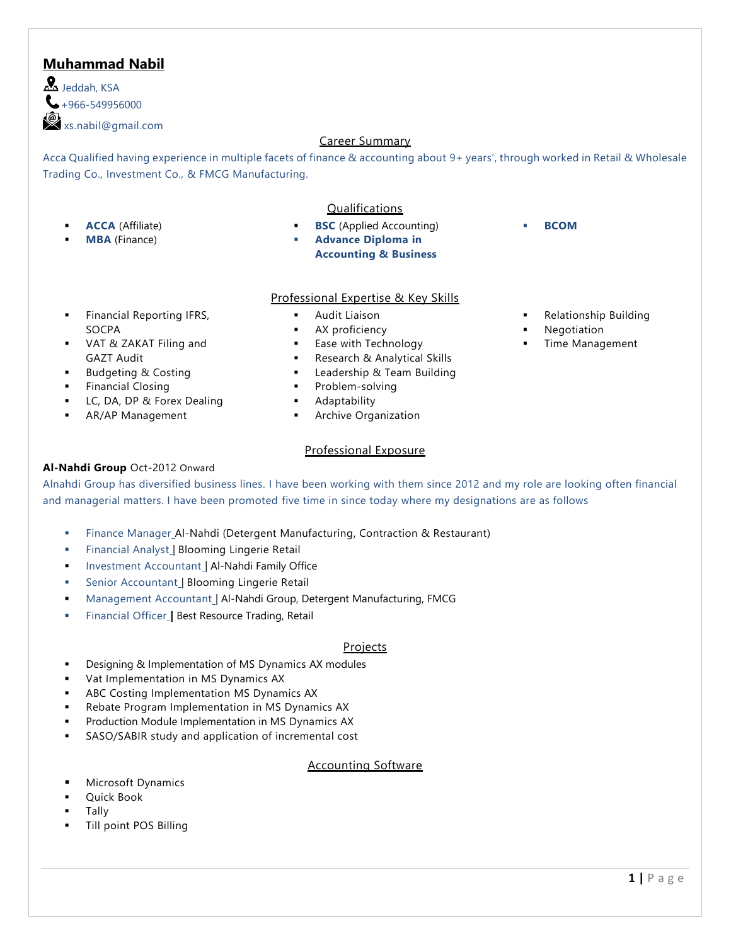# **Muhammad Nabil**

 $\mathbf{A}$  leddah, KSA  $\bigcup$  +966-549956000 xs.nabil@gmail.com

### Career Summary

Acca Qualified having experience in multiple facets of finance & accounting about 9+ years', through worked in Retail & Wholesale Trading Co., Investment Co., & FMCG Manufacturing.

#### **ACCA** (Affiliate)

**MBA** (Finance)

### Qualifications

- **BSC** (Applied Accounting)
- **Advance Diploma in Accounting & Business**

### Professional Expertise & Key Skills

- **Audit Liaison**
- AX proficiency
- Ease with Technology
- Research & Analytical Skills
- Leadership & Team Building
- Problem-solving
- **Adaptability**
- **Archive Organization**

#### Professional Exposure

#### **Al-Nahdi Group** Oct-2012 Onward

Alnahdi Group has diversified business lines. I have been working with them since 2012 and my role are looking often financial and managerial matters. I have been promoted five time in since today where my designations are as follows

- Finance Manager\_Al-Nahdi (Detergent Manufacturing, Contraction & Restaurant)
- Financial Analyst\_| Blooming Lingerie Retail
- Investment Accountant | Al-Nahdi Family Office
- Senior Accountant | Blooming Lingerie Retail
- Management Accountant | Al-Nahdi Group, Detergent Manufacturing, FMCG
- **Financial Officer | Best Resource Trading, Retail**

#### Projects

- Designing & Implementation of MS Dynamics AX modules
- Vat Implementation in MS Dynamics AX
- ABC Costing Implementation MS Dynamics AX
- Rebate Program Implementation in MS Dynamics AX
- Production Module Implementation in MS Dynamics AX
- SASO/SABIR study and application of incremental cost

### Accounting Software

- **Microsoft Dynamics**
- **Ouick Book**
- **Tally**
- Till point POS Billing

▪ **BCOM**

**Relationship Building** 

- **Financial Reporting IFRS,** SOCPA
- VAT & ZAKAT Filing and GAZT Audit
- **Budgeting & Costing**
- **Financial Closing**
- LC, DA, DP & Forex Dealing
- AR/AP Management
- 
- 
- 
- 
- 
- 
- - - **Negotiation** Time Management